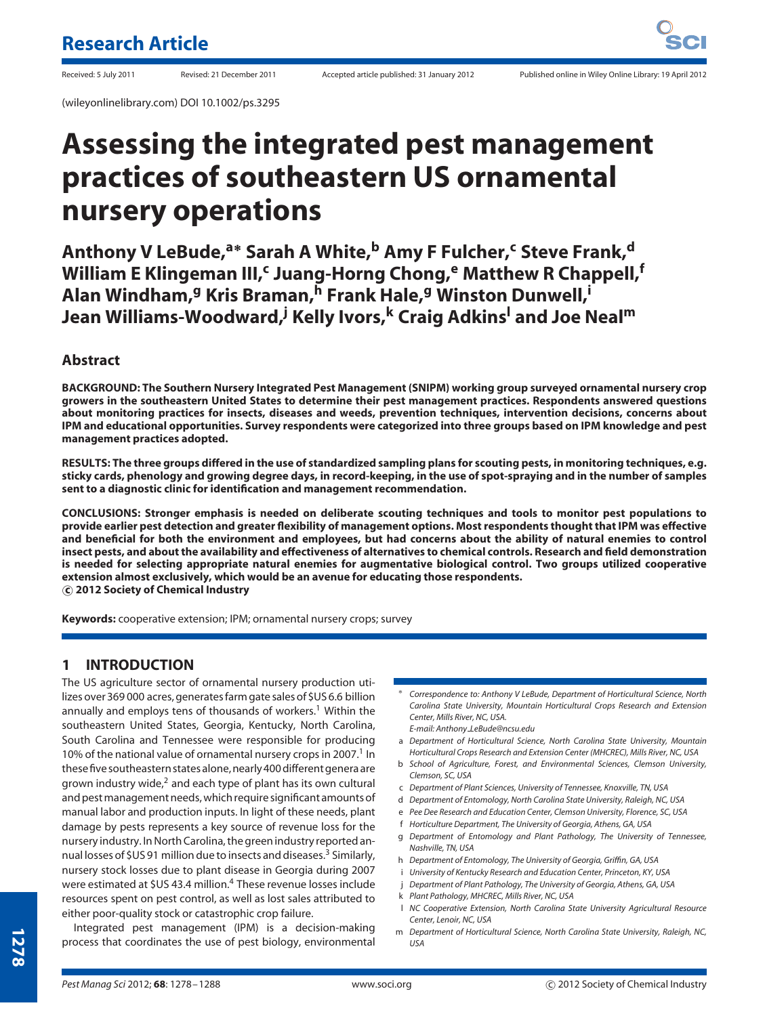(wileyonlinelibrary.com) DOI 10.1002/ps.3295

# **Assessing the integrated pest management practices of southeastern US ornamental nursery operations**

**Anthony V LeBude,a<sup>∗</sup> Sarah A White,<sup>b</sup> Amy F Fulcher,<sup>c</sup> Steve Frank,<sup>d</sup> William E Klingeman III,<sup>c</sup> Juang-Horng Chong,<sup>e</sup> Matthew R Chappell,<sup>f</sup> Alan Windham,<sup>g</sup> Kris Braman,<sup>h</sup> Frank Hale,<sup>g</sup> Winston Dunwell,i Jean Williams-Woodward,<sup>j</sup> Kelly Ivors,k Craig Adkins<sup>l</sup> and Joe Neal<sup>m</sup>**

# **Abstract**

**BACKGROUND: The Southern Nursery Integrated Pest Management (SNIPM) working group surveyed ornamental nursery crop growers in the southeastern United States to determine their pest management practices. Respondents answered questions about monitoring practices for insects, diseases and weeds, prevention techniques, intervention decisions, concerns about IPM and educational opportunities. Survey respondents were categorized into three groups based on IPM knowledge and pest management practices adopted.**

**RESULTS: The three groups differed in the use of standardized sampling plans for scouting pests, in monitoring techniques, e.g. sticky cards, phenology and growing degree days, in record-keeping, in the use of spot-spraying and in the number of samples sent to a diagnostic clinic for identification and management recommendation.**

**CONCLUSIONS: Stronger emphasis is needed on deliberate scouting techniques and tools to monitor pest populations to provide earlier pest detection and greater flexibility of management options. Most respondents thought that IPM was effective and beneficial for both the environment and employees, but had concerns about the ability of natural enemies to control insect pests, and about the availability and effectiveness of alternatives to chemical controls. Research and field demonstration is needed for selecting appropriate natural enemies for augmentative biological control. Two groups utilized cooperative extension almost exclusively, which would be an avenue for educating those respondents. c 2012 Society of Chemical Industry**

**Keywords:** cooperative extension; IPM; ornamental nursery crops; survey

# **1 INTRODUCTION**

The US agriculture sector of ornamental nursery production utilizes over 369 000 acres, generatesfarm gate sales of \$US 6.6 billion annually and employs tens of thousands of workers.<sup>1</sup> Within the southeastern United States, Georgia, Kentucky, North Carolina, South Carolina and Tennessee were responsible for producing 10% of the national value of ornamental nursery crops in 2007.<sup>1</sup> In these five southeastern statesalone, nearly 400 different generaare grown industry wide, $2$  and each type of plant has its own cultural and pest management needs, which require significant amounts of manual labor and production inputs. In light of these needs, plant damage by pests represents a key source of revenue loss for the nursery industry. In North Carolina, the green industry reported annual losses of \$US 91 million due to insects and diseases.<sup>3</sup> Similarly, nursery stock losses due to plant disease in Georgia during 2007 were estimated at \$US 43.4 million.<sup>4</sup> These revenue losses include resources spent on pest control, as well as lost sales attributed to either poor-quality stock or catastrophic crop failure.

Integrated pest management (IPM) is a decision-making process that coordinates the use of pest biology, environmental

- ∗ *Correspondence to: Anthony V LeBude, Department of Horticultural Science, North Carolina State University, Mountain Horticultural Crops Research and Extension Center, Mills River, NC, USA. E-mail: Anthony LeBude@ncsu.edu*
- a *Department of Horticultural Science, North Carolina State University, Mountain Horticultural Crops Research and Extension Center (MHCREC), Mills River, NC, USA*
- b *School of Agriculture, Forest, and Environmental Sciences, Clemson University, Clemson, SC, USA*
- c *Department of Plant Sciences, University of Tennessee, Knoxville, TN, USA*
- d *Department of Entomology, North Carolina State University, Raleigh, NC, USA*
- e *Pee Dee Research and Education Center, Clemson University, Florence, SC, USA*
- f *Horticulture Department, The University of Georgia, Athens, GA, USA*
- g *Department of Entomology and Plant Pathology, The University of Tennessee, Nashville, TN, USA*
- h *Department of Entomology, The University of Georgia, Griffin, GA, USA*
- i *University of Kentucky Research and Education Center, Princeton, KY, USA*
- j *Department of Plant Pathology, The University of Georgia, Athens, GA, USA*
- k *Plant Pathology, MHCREC, Mills River, NC, USA*
- l *NC Cooperative Extension, North Carolina State University Agricultural Resource Center, Lenoir, NC, USA*
- m *Department of Horticultural Science, North Carolina State University, Raleigh, NC, USA*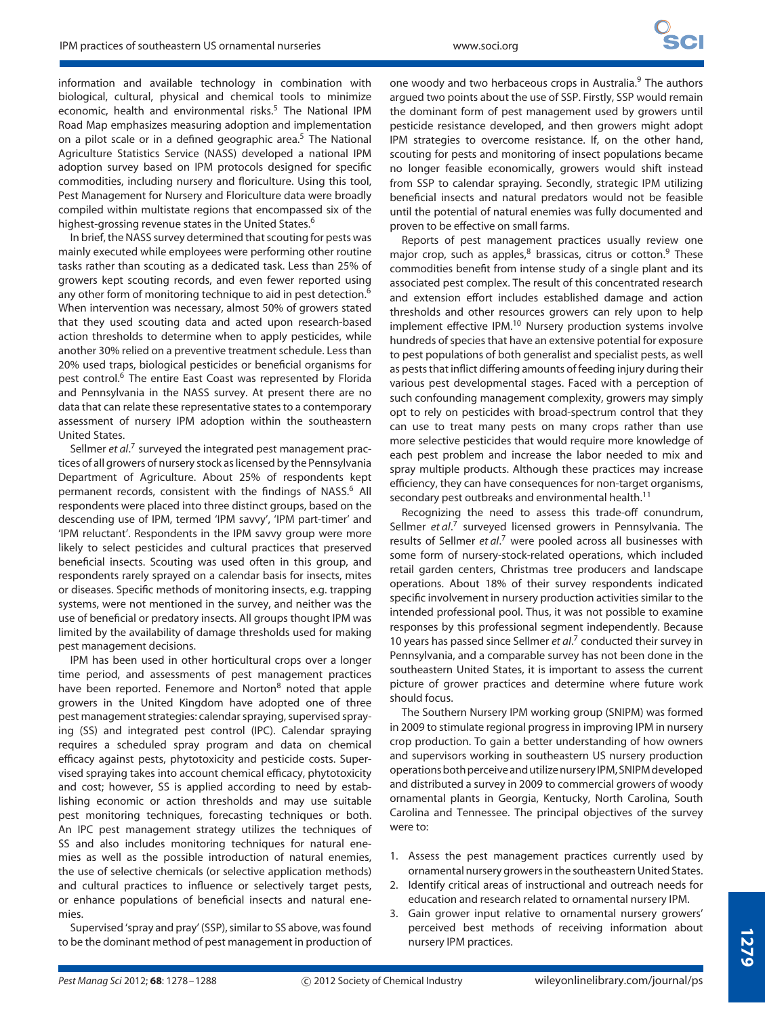information and available technology in combination with biological, cultural, physical and chemical tools to minimize economic, health and environmental risks.<sup>5</sup> The National IPM Road Map emphasizes measuring adoption and implementation on a pilot scale or in a defined geographic area.<sup>5</sup> The National Agriculture Statistics Service (NASS) developed a national IPM adoption survey based on IPM protocols designed for specific commodities, including nursery and floriculture. Using this tool, Pest Management for Nursery and Floriculture data were broadly compiled within multistate regions that encompassed six of the highest-grossing revenue states in the United States.<sup>6</sup>

In brief, the NASS survey determined that scouting for pests was mainly executed while employees were performing other routine tasks rather than scouting as a dedicated task. Less than 25% of growers kept scouting records, and even fewer reported using any other form of monitoring technique to aid in pest detection.<sup>6</sup> When intervention was necessary, almost 50% of growers stated that they used scouting data and acted upon research-based action thresholds to determine when to apply pesticides, while another 30% relied on a preventive treatment schedule. Less than 20% used traps, biological pesticides or beneficial organisms for pest control.<sup>6</sup> The entire East Coast was represented by Florida and Pennsylvania in the NASS survey. At present there are no data that can relate these representative states to a contemporary assessment of nursery IPM adoption within the southeastern United States.

Sellmer et al.<sup>7</sup> surveyed the integrated pest management practices of all growers of nursery stock as licensed by the Pennsylvania Department of Agriculture. About 25% of respondents kept permanent records, consistent with the findings of NASS.<sup>6</sup> All respondents were placed into three distinct groups, based on the descending use of IPM, termed 'IPM savvy', 'IPM part-timer' and 'IPM reluctant'. Respondents in the IPM savvy group were more likely to select pesticides and cultural practices that preserved beneficial insects. Scouting was used often in this group, and respondents rarely sprayed on a calendar basis for insects, mites or diseases. Specific methods of monitoring insects, e.g. trapping systems, were not mentioned in the survey, and neither was the use of beneficial or predatory insects. All groups thought IPM was limited by the availability of damage thresholds used for making pest management decisions.

IPM has been used in other horticultural crops over a longer time period, and assessments of pest management practices have been reported. Fenemore and Norton<sup>8</sup> noted that apple growers in the United Kingdom have adopted one of three pest management strategies: calendar spraying, supervised spraying (SS) and integrated pest control (IPC). Calendar spraying requires a scheduled spray program and data on chemical efficacy against pests, phytotoxicity and pesticide costs. Supervised spraying takes into account chemical efficacy, phytotoxicity and cost; however, SS is applied according to need by establishing economic or action thresholds and may use suitable pest monitoring techniques, forecasting techniques or both. An IPC pest management strategy utilizes the techniques of SS and also includes monitoring techniques for natural enemies as well as the possible introduction of natural enemies, the use of selective chemicals (or selective application methods) and cultural practices to influence or selectively target pests, or enhance populations of beneficial insects and natural enemies.

Supervised 'spray and pray' (SSP), similar to SS above, was found to be the dominant method of pest management in production of one woody and two herbaceous crops in Australia.<sup>9</sup> The authors argued two points about the use of SSP. Firstly, SSP would remain the dominant form of pest management used by growers until pesticide resistance developed, and then growers might adopt IPM strategies to overcome resistance. If, on the other hand, scouting for pests and monitoring of insect populations became no longer feasible economically, growers would shift instead from SSP to calendar spraying. Secondly, strategic IPM utilizing beneficial insects and natural predators would not be feasible until the potential of natural enemies was fully documented and proven to be effective on small farms.

Reports of pest management practices usually review one major crop, such as apples, $8$  brassicas, citrus or cotton. $9$  These commodities benefit from intense study of a single plant and its associated pest complex. The result of this concentrated research and extension effort includes established damage and action thresholds and other resources growers can rely upon to help implement effective IPM.<sup>10</sup> Nursery production systems involve hundreds of species that have an extensive potential for exposure to pest populations of both generalist and specialist pests, as well as pests that inflict differing amounts of feeding injury during their various pest developmental stages. Faced with a perception of such confounding management complexity, growers may simply opt to rely on pesticides with broad-spectrum control that they can use to treat many pests on many crops rather than use more selective pesticides that would require more knowledge of each pest problem and increase the labor needed to mix and spray multiple products. Although these practices may increase efficiency, they can have consequences for non-target organisms, secondary pest outbreaks and environmental health.<sup>11</sup>

Recognizing the need to assess this trade-off conundrum, Sellmer *et al*. <sup>7</sup> surveyed licensed growers in Pennsylvania. The results of Sellmer *et al*. <sup>7</sup> were pooled across all businesses with some form of nursery-stock-related operations, which included retail garden centers, Christmas tree producers and landscape operations. About 18% of their survey respondents indicated specific involvement in nursery production activities similar to the intended professional pool. Thus, it was not possible to examine responses by this professional segment independently. Because 10 years has passed since Sellmer *et al*. <sup>7</sup> conducted their survey in Pennsylvania, and a comparable survey has not been done in the southeastern United States, it is important to assess the current picture of grower practices and determine where future work should focus.

The Southern Nursery IPM working group (SNIPM) was formed in 2009 to stimulate regional progress in improving IPM in nursery crop production. To gain a better understanding of how owners and supervisors working in southeastern US nursery production operations both perceiveand utilize nurseryIPM,SNIPM developed and distributed a survey in 2009 to commercial growers of woody ornamental plants in Georgia, Kentucky, North Carolina, South Carolina and Tennessee. The principal objectives of the survey were to:

- 1. Assess the pest management practices currently used by ornamental nursery growers in the southeastern United States.
- 2. Identify critical areas of instructional and outreach needs for education and research related to ornamental nursery IPM.
- 3. Gain grower input relative to ornamental nursery growers' perceived best methods of receiving information about nursery IPM practices.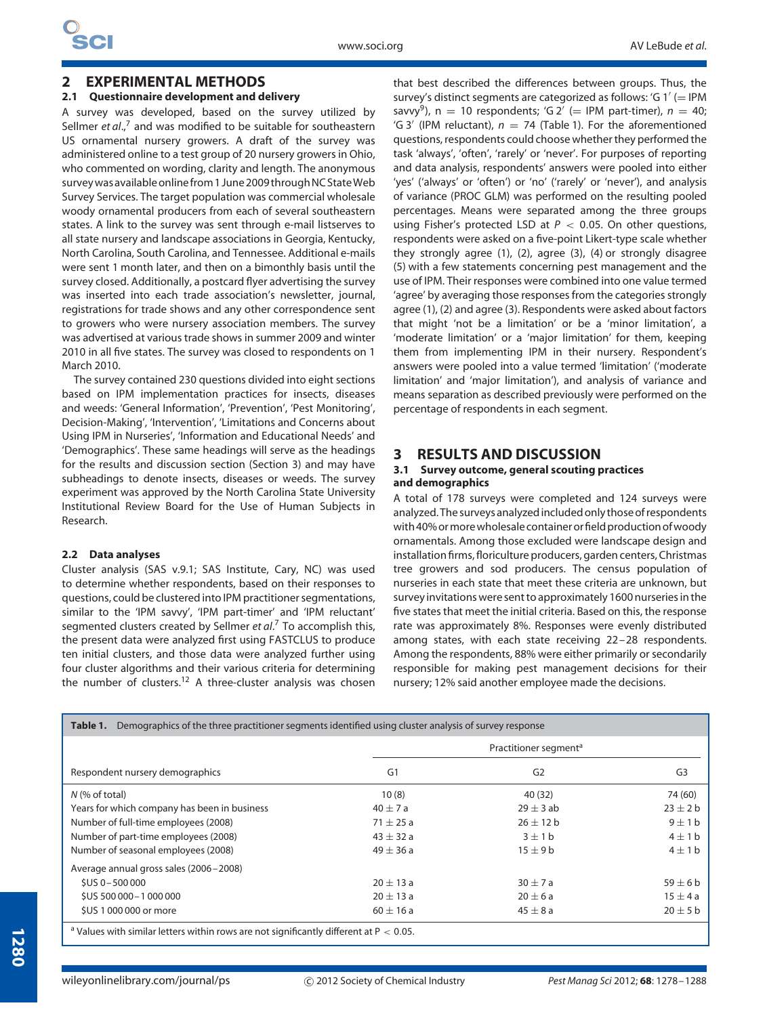# **2 EXPERIMENTAL METHODS**

## **2.1 Questionnaire development and delivery**

A survey was developed, based on the survey utilized by Sellmer *et al.*,<sup>7</sup> and was modified to be suitable for southeastern US ornamental nursery growers. A draft of the survey was administered online to a test group of 20 nursery growers in Ohio, who commented on wording, clarity and length. The anonymous survey was available online from 1 June 2009 through NC State Web Survey Services. The target population was commercial wholesale woody ornamental producers from each of several southeastern states. A link to the survey was sent through e-mail listserves to all state nursery and landscape associations in Georgia, Kentucky, North Carolina, South Carolina, and Tennessee. Additional e-mails were sent 1 month later, and then on a bimonthly basis until the survey closed. Additionally, a postcard flyer advertising the survey was inserted into each trade association's newsletter, journal, registrations for trade shows and any other correspondence sent to growers who were nursery association members. The survey was advertised at various trade shows in summer 2009 and winter 2010 in all five states. The survey was closed to respondents on 1 March 2010.

The survey contained 230 questions divided into eight sections based on IPM implementation practices for insects, diseases and weeds: 'General Information', 'Prevention', 'Pest Monitoring', Decision-Making', 'Intervention', 'Limitations and Concerns about Using IPM in Nurseries', 'Information and Educational Needs' and 'Demographics'. These same headings will serve as the headings for the results and discussion section (Section 3) and may have subheadings to denote insects, diseases or weeds. The survey experiment was approved by the North Carolina State University Institutional Review Board for the Use of Human Subjects in Research.

#### **2.2 Data analyses**

Cluster analysis (SAS v.9.1; SAS Institute, Cary, NC) was used to determine whether respondents, based on their responses to questions, could be clustered into IPM practitioner segmentations, similar to the 'IPM savvy', 'IPM part-timer' and 'IPM reluctant' segmented clusters created by Sellmer *et al*. <sup>7</sup> To accomplish this, the present data were analyzed first using FASTCLUS to produce ten initial clusters, and those data were analyzed further using four cluster algorithms and their various criteria for determining the number of clusters.<sup>12</sup> A three-cluster analysis was chosen that best described the differences between groups. Thus, the survey's distinct segments are categorized as follows: 'G  $1'$  (= IPM savvy<sup>9</sup>),  $n = 10$  respondents; 'G 2' (= IPM part-timer),  $n = 40$ ; 'G 3' (IPM reluctant),  $n = 74$  (Table 1). For the aforementioned questions, respondents could choose whether they performed the task 'always', 'often', 'rarely' or 'never'. For purposes of reporting and data analysis, respondents' answers were pooled into either 'yes' ('always' or 'often') or 'no' ('rarely' or 'never'), and analysis of variance (PROC GLM) was performed on the resulting pooled percentages. Means were separated among the three groups using Fisher's protected LSD at *P <* 0*.*05. On other questions, respondents were asked on a five-point Likert-type scale whether they strongly agree (1), (2), agree (3), (4) or strongly disagree (5) with a few statements concerning pest management and the use of IPM. Their responses were combined into one value termed 'agree' by averaging those responses from the categories strongly agree (1), (2) and agree (3). Respondents were asked about factors that might 'not be a limitation' or be a 'minor limitation', a 'moderate limitation' or a 'major limitation' for them, keeping them from implementing IPM in their nursery. Respondent's answers were pooled into a value termed 'limitation' ('moderate limitation' and 'major limitation'), and analysis of variance and means separation as described previously were performed on the percentage of respondents in each segment.

# **3 RESULTS AND DISCUSSION**

#### **3.1 Survey outcome, general scouting practices and demographics**

A total of 178 surveys were completed and 124 surveys were analyzed.The surveys analyzed included only those of respondents with 40% ormorewholesale container or field production ofwoody ornamentals. Among those excluded were landscape design and installation firms, floriculture producers, garden centers, Christmas tree growers and sod producers. The census population of nurseries in each state that meet these criteria are unknown, but survey invitations were sent to approximately 1600 nurseries in the five states that meet the initial criteria. Based on this, the response rate was approximately 8%. Responses were evenly distributed among states, with each state receiving 22–28 respondents. Among the respondents, 88% were either primarily or secondarily responsible for making pest management decisions for their nursery; 12% said another employee made the decisions.

**Table 1.** Demographics of the three practitioner segments identified using cluster analysis of survey response

| Practitioner segment <sup>a</sup>                                                                    |               |                |              |
|------------------------------------------------------------------------------------------------------|---------------|----------------|--------------|
| Respondent nursery demographics                                                                      | G1            | G <sub>2</sub> | G3           |
| $N$ (% of total)                                                                                     | 10(8)         | 40 (32)        | 74 (60)      |
| Years for which company has been in business                                                         | $40 \pm 7a$   | $29 + 3$ ab    | $23 \pm 2b$  |
| Number of full-time employees (2008)                                                                 | $71 + 25a$    | $26 + 12 b$    | $9 \pm 1$ b  |
| Number of part-time employees (2008)                                                                 | $43 \pm 32 a$ | $3 + 1b$       | $4 \pm 1$ b  |
| Number of seasonal employees (2008)                                                                  | $49 + 36a$    | $15 + 9b$      | $4 \pm 1$ b  |
| Average annual gross sales (2006-2008)                                                               |               |                |              |
| \$US 0-500 000                                                                                       | $20 + 13a$    | $30 + 7a$      | $59 + 6 b$   |
| \$US 500 000 - 1 000 000                                                                             | $20 + 13a$    | $20 + 6a$      | $15 \pm 4a$  |
| \$US 1 000 000 or more                                                                               | $60 \pm 16$ a | $45 \pm 8a$    | $20 \pm 5$ b |
| <sup>a</sup> Values with similar letters within rows are not significantly different at $P < 0.05$ . |               |                |              |

**1280**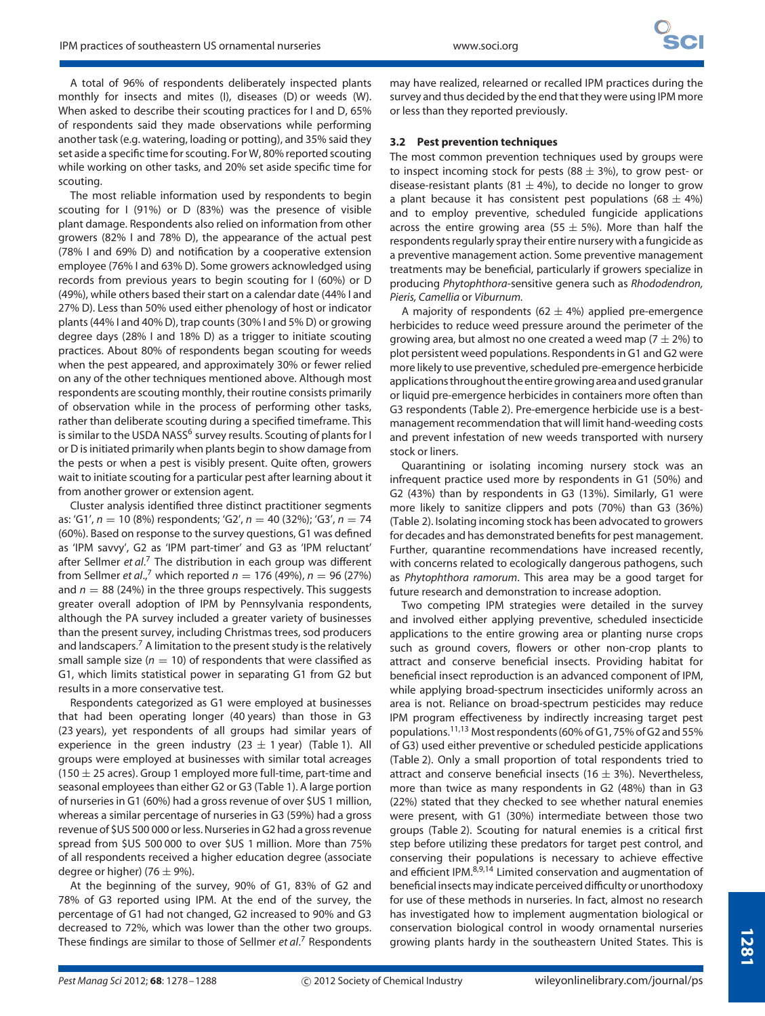A total of 96% of respondents deliberately inspected plants monthly for insects and mites (I), diseases (D) or weeds (W). When asked to describe their scouting practices for I and D, 65% of respondents said they made observations while performing another task (e.g. watering, loading or potting), and 35% said they set aside a specific time for scouting. For W, 80% reported scouting while working on other tasks, and 20% set aside specific time for scouting.

The most reliable information used by respondents to begin scouting for I (91%) or D (83%) was the presence of visible plant damage. Respondents also relied on information from other growers (82% I and 78% D), the appearance of the actual pest (78% I and 69% D) and notification by a cooperative extension employee (76% I and 63% D). Some growers acknowledged using records from previous years to begin scouting for I (60%) or D (49%), while others based their start on a calendar date (44% I and 27% D). Less than 50% used either phenology of host or indicator plants (44% I and 40% D), trap counts (30% I and 5% D) or growing degree days (28% I and 18% D) as a trigger to initiate scouting practices. About 80% of respondents began scouting for weeds when the pest appeared, and approximately 30% or fewer relied on any of the other techniques mentioned above. Although most respondents are scouting monthly, their routine consists primarily of observation while in the process of performing other tasks, rather than deliberate scouting during a specified timeframe. This is similar to the USDA NASS<sup>6</sup> survey results. Scouting of plants for I or D is initiated primarily when plants begin to show damage from the pests or when a pest is visibly present. Quite often, growers wait to initiate scouting for a particular pest after learning about it from another grower or extension agent.

Cluster analysis identified three distinct practitioner segments as: 'G1', *n* = 10 (8%) respondents; 'G2', *n* = 40 (32%); 'G3', *n* = 74 (60%). Based on response to the survey questions, G1 was defined as 'IPM savvy', G2 as 'IPM part-timer' and G3 as 'IPM reluctant' after Sellmer *et al*. <sup>7</sup> The distribution in each group was different from Sellmer *et al.*,<sup>7</sup> which reported  $n = 176$  (49%),  $n = 96$  (27%) and  $n = 88$  (24%) in the three groups respectively. This suggests greater overall adoption of IPM by Pennsylvania respondents, although the PA survey included a greater variety of businesses than the present survey, including Christmas trees, sod producers and landscapers.7 A limitation to the present study is the relatively small sample size ( $n = 10$ ) of respondents that were classified as G1, which limits statistical power in separating G1 from G2 but results in a more conservative test.

Respondents categorized as G1 were employed at businesses that had been operating longer (40 years) than those in G3 (23 years), yet respondents of all groups had similar years of experience in the green industry (23  $\pm$  1 year) (Table 1). All groups were employed at businesses with similar total acreages (150  $\pm$  25 acres). Group 1 employed more full-time, part-time and seasonal employees than either G2 or G3 (Table 1). A large portion of nurseries in G1 (60%) had a gross revenue of over \$US 1 million, whereas a similar percentage of nurseries in G3 (59%) had a gross revenue of \$US 500 000 or less. Nurseries in G2 had a gross revenue spread from \$US 500 000 to over \$US 1 million. More than 75% of all respondents received a higher education degree (associate degree or higher) (76  $\pm$  9%).

At the beginning of the survey, 90% of G1, 83% of G2 and 78% of G3 reported using IPM. At the end of the survey, the percentage of G1 had not changed, G2 increased to 90% and G3 decreased to 72%, which was lower than the other two groups. These findings are similar to those of Sellmer *et al*. <sup>7</sup> Respondents

may have realized, relearned or recalled IPM practices during the survey and thus decided by the end that they were using IPM more or less than they reported previously.

## **3.2 Pest prevention techniques**

The most common prevention techniques used by groups were to inspect incoming stock for pests (88  $\pm$  3%), to grow pest- or disease-resistant plants (81  $\pm$  4%), to decide no longer to grow a plant because it has consistent pest populations (68  $\pm$  4%) and to employ preventive, scheduled fungicide applications across the entire growing area (55  $\pm$  5%). More than half the respondents regularly spray their entire nursery with a fungicide as a preventive management action. Some preventive management treatments may be beneficial, particularly if growers specialize in producing *Phytophthora*-sensitive genera such as *Rhododendron, Pieris, Camellia* or *Viburnum.*

A majority of respondents (62  $\pm$  4%) applied pre-emergence herbicides to reduce weed pressure around the perimeter of the growing area, but almost no one created a weed map ( $7 \pm 2\%$ ) to plot persistent weed populations. Respondents in G1 and G2 were more likely to use preventive, scheduled pre-emergence herbicide applications throughout the entire growing area and used granular or liquid pre-emergence herbicides in containers more often than G3 respondents (Table 2). Pre-emergence herbicide use is a bestmanagement recommendation that will limit hand-weeding costs and prevent infestation of new weeds transported with nursery stock or liners.

Quarantining or isolating incoming nursery stock was an infrequent practice used more by respondents in G1 (50%) and G2 (43%) than by respondents in G3 (13%). Similarly, G1 were more likely to sanitize clippers and pots (70%) than G3 (36%) (Table 2). Isolating incoming stock has been advocated to growers for decades and has demonstrated benefits for pest management. Further, quarantine recommendations have increased recently, with concerns related to ecologically dangerous pathogens, such as *Phytophthora ramorum*. This area may be a good target for future research and demonstration to increase adoption.

Two competing IPM strategies were detailed in the survey and involved either applying preventive, scheduled insecticide applications to the entire growing area or planting nurse crops such as ground covers, flowers or other non-crop plants to attract and conserve beneficial insects. Providing habitat for beneficial insect reproduction is an advanced component of IPM, while applying broad-spectrum insecticides uniformly across an area is not. Reliance on broad-spectrum pesticides may reduce IPM program effectiveness by indirectly increasing target pest populations.11,13 Most respondents(60% of G1, 75% of G2 and 55% of G3) used either preventive or scheduled pesticide applications (Table 2). Only a small proportion of total respondents tried to attract and conserve beneficial insects (16  $\pm$  3%). Nevertheless, more than twice as many respondents in G2 (48%) than in G3 (22%) stated that they checked to see whether natural enemies were present, with G1 (30%) intermediate between those two groups (Table 2). Scouting for natural enemies is a critical first step before utilizing these predators for target pest control, and conserving their populations is necessary to achieve effective and efficient IPM. $8,9,14$  Limited conservation and augmentation of beneficial insects may indicate perceived difficulty or unorthodoxy for use of these methods in nurseries. In fact, almost no research has investigated how to implement augmentation biological or conservation biological control in woody ornamental nurseries growing plants hardy in the southeastern United States. This is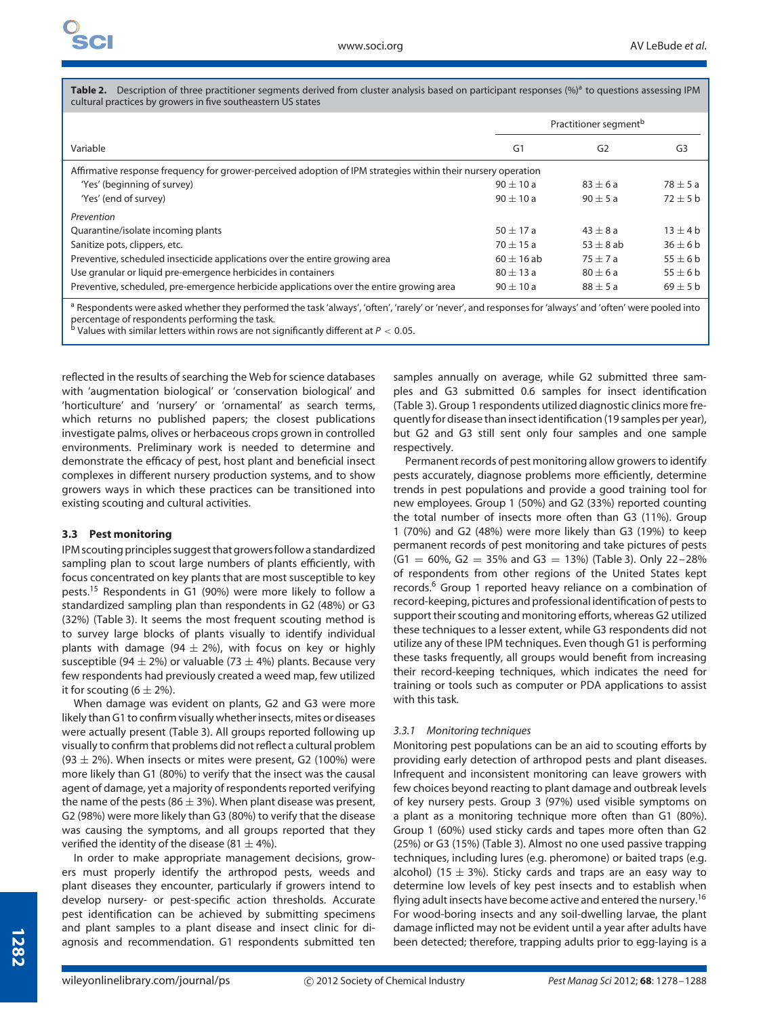| Description of three practitioner segments derived from cluster analysis based on participant responses (%) <sup>a</sup> to questions assessing IPM<br>Table 2.<br>cultural practices by growers in five southeastern US states |                                   |                |                |
|---------------------------------------------------------------------------------------------------------------------------------------------------------------------------------------------------------------------------------|-----------------------------------|----------------|----------------|
|                                                                                                                                                                                                                                 | Practitioner segment <sup>b</sup> |                |                |
| Variable                                                                                                                                                                                                                        | G <sub>1</sub>                    | G <sub>2</sub> | G <sub>3</sub> |
| Affirmative response frequency for grower-perceived adoption of IPM strategies within their nursery operation                                                                                                                   |                                   |                |                |
| 'Yes' (beginning of survey)                                                                                                                                                                                                     | $90 + 10a$                        | $83 + 6a$      | $78 + 5a$      |
| 'Yes' (end of survey)                                                                                                                                                                                                           | $90 + 10a$                        | $90 + 5a$      | $72 + 5b$      |
| Prevention                                                                                                                                                                                                                      |                                   |                |                |
| Quarantine/isolate incoming plants                                                                                                                                                                                              | $50 + 17a$                        | $43 + 8a$      | $13 + 4b$      |
| Sanitize pots, clippers, etc.                                                                                                                                                                                                   | $70 + 15a$                        | $53 + 8$ ab    | $36 + 6 b$     |
| Preventive, scheduled insecticide applications over the entire growing area                                                                                                                                                     | $60 + 16$ ab                      | $75 + 7a$      | $55 + 6 b$     |
| Use granular or liquid pre-emergence herbicides in containers                                                                                                                                                                   | $80 + 13a$                        | $80 + 6a$      | $55 + 6 b$     |
| Preventive, scheduled, pre-emergence herbicide applications over the entire growing area                                                                                                                                        | $90 + 10a$                        | $88 \pm 5a$    | $69 \pm 5$ b   |
| <sup>a</sup> Respondents were asked whether they performed the task 'always', 'often', 'rarely' or 'never', and responses for 'always' and 'often' were pooled into<br>percentage of respondents performing the task.           |                                   |                |                |

<sup>b</sup> Values with similar letters within rows are not significantly different at *P <* 0*.*05.

reflected in the results of searching the Web for science databases with 'augmentation biological' or 'conservation biological' and 'horticulture' and 'nursery' or 'ornamental' as search terms, which returns no published papers; the closest publications investigate palms, olives or herbaceous crops grown in controlled environments. Preliminary work is needed to determine and demonstrate the efficacy of pest, host plant and beneficial insect complexes in different nursery production systems, and to show growers ways in which these practices can be transitioned into existing scouting and cultural activities.

#### **3.3 Pest monitoring**

IPM scouting principles suggest that growersfollow a standardized sampling plan to scout large numbers of plants efficiently, with focus concentrated on key plants that are most susceptible to key pests.15 Respondents in G1 (90%) were more likely to follow a standardized sampling plan than respondents in G2 (48%) or G3 (32%) (Table 3). It seems the most frequent scouting method is to survey large blocks of plants visually to identify individual plants with damage (94  $\pm$  2%), with focus on key or highly susceptible (94  $\pm$  2%) or valuable (73  $\pm$  4%) plants. Because very few respondents had previously created a weed map, few utilized it for scouting  $(6 \pm 2\%)$ .

When damage was evident on plants, G2 and G3 were more likely than G1 to confirm visually whether insects, mites or diseases were actually present (Table 3). All groups reported following up visually to confirm that problems did not reflect a cultural problem (93  $\pm$  2%). When insects or mites were present, G2 (100%) were more likely than G1 (80%) to verify that the insect was the causal agent of damage, yet a majority of respondents reported verifying the name of the pests (86  $\pm$  3%). When plant disease was present, G2 (98%) were more likely than G3 (80%) to verify that the disease was causing the symptoms, and all groups reported that they verified the identity of the disease (81  $\pm$  4%).

In order to make appropriate management decisions, growers must properly identify the arthropod pests, weeds and plant diseases they encounter, particularly if growers intend to develop nursery- or pest-specific action thresholds. Accurate pest identification can be achieved by submitting specimens and plant samples to a plant disease and insect clinic for diagnosis and recommendation. G1 respondents submitted ten samples annually on average, while G2 submitted three samples and G3 submitted 0.6 samples for insect identification (Table 3). Group 1 respondents utilized diagnostic clinics more frequently for disease than insect identification (19 samples per year), but G2 and G3 still sent only four samples and one sample respectively.

Permanent records of pest monitoring allow growers to identify pests accurately, diagnose problems more efficiently, determine trends in pest populations and provide a good training tool for new employees. Group 1 (50%) and G2 (33%) reported counting the total number of insects more often than G3 (11%). Group 1 (70%) and G2 (48%) were more likely than G3 (19%) to keep permanent records of pest monitoring and take pictures of pests  $(G1 = 60\%, G2 = 35\%$  and  $G3 = 13\%)$  (Table 3). Only 22-28% of respondents from other regions of the United States kept records.<sup>6</sup> Group 1 reported heavy reliance on a combination of record-keeping, pictures and professional identification of pests to support their scouting and monitoring efforts, whereas G2 utilized these techniques to a lesser extent, while G3 respondents did not utilize any of these IPM techniques. Even though G1 is performing these tasks frequently, all groups would benefit from increasing their record-keeping techniques, which indicates the need for training or tools such as computer or PDA applications to assist with this task.

#### *3.3.1 Monitoring techniques*

Monitoring pest populations can be an aid to scouting efforts by providing early detection of arthropod pests and plant diseases. Infrequent and inconsistent monitoring can leave growers with few choices beyond reacting to plant damage and outbreak levels of key nursery pests. Group 3 (97%) used visible symptoms on a plant as a monitoring technique more often than G1 (80%). Group 1 (60%) used sticky cards and tapes more often than G2 (25%) or G3 (15%) (Table 3). Almost no one used passive trapping techniques, including lures (e.g. pheromone) or baited traps (e.g. alcohol) (15  $\pm$  3%). Sticky cards and traps are an easy way to determine low levels of key pest insects and to establish when flying adult insects have become active and entered the nursery.16 For wood-boring insects and any soil-dwelling larvae, the plant damage inflicted may not be evident until a year after adults have been detected; therefore, trapping adults prior to egg-laying is a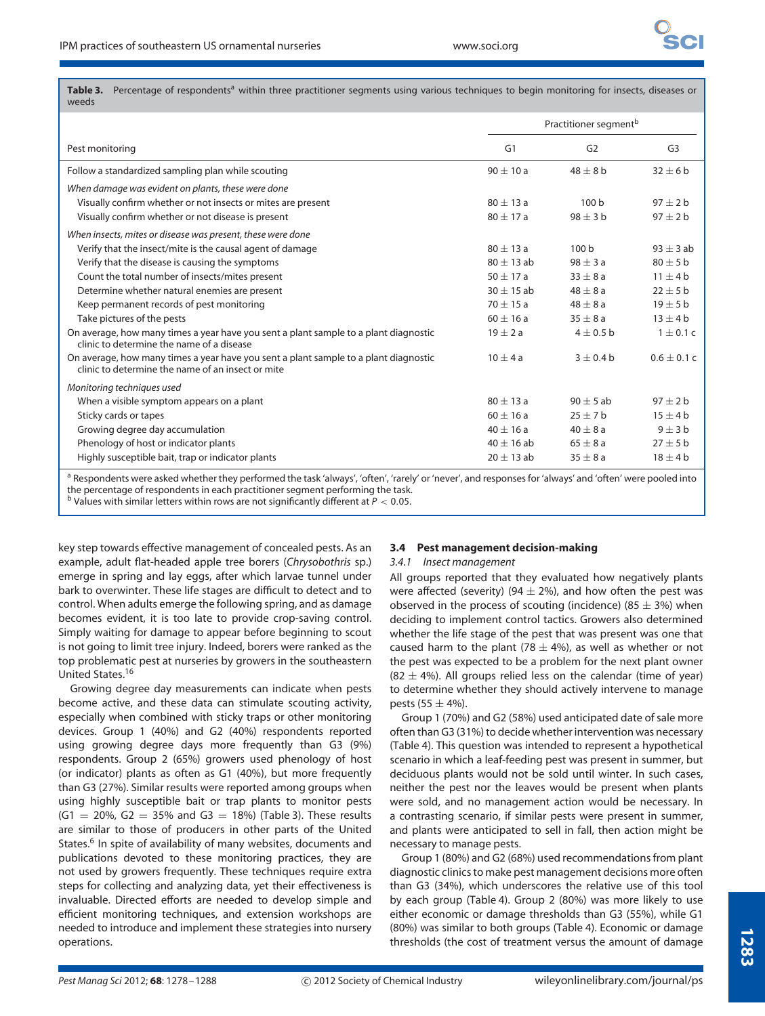Table 3. Percentage of respondents<sup>a</sup> within three practitioner segments using various techniques to begin monitoring for insects, diseases or weeds

|                                                                                                                                                       |                | Practitioner segment <sup>b</sup> |                 |  |
|-------------------------------------------------------------------------------------------------------------------------------------------------------|----------------|-----------------------------------|-----------------|--|
| Pest monitoring                                                                                                                                       | G <sub>1</sub> | G <sub>2</sub>                    | G <sub>3</sub>  |  |
| Follow a standardized sampling plan while scouting                                                                                                    | $90 \pm 10 a$  | $48 + 8$ b                        | $32 \pm 6$ b    |  |
| When damage was evident on plants, these were done                                                                                                    |                |                                   |                 |  |
| Visually confirm whether or not insects or mites are present                                                                                          | $80 + 13a$     | 100 <sub>b</sub>                  | $97 + 2 b$      |  |
| Visually confirm whether or not disease is present                                                                                                    | $80 \pm 17$ a  | $98 \pm 3$ b                      | $97 \pm 2 b$    |  |
| When insects, mites or disease was present, these were done                                                                                           |                |                                   |                 |  |
| Verify that the insect/mite is the causal agent of damage                                                                                             | $80 + 13a$     | 100 <sub>b</sub>                  | $93 + 3$ ab     |  |
| Verify that the disease is causing the symptoms                                                                                                       | $80 + 13$ ab   | $98 + 3a$                         | $80 \pm 5$ b    |  |
| Count the total number of insects/mites present                                                                                                       | $50 \pm 17$ a  | $33 + 8a$                         | $11 + 4b$       |  |
| Determine whether natural enemies are present                                                                                                         | $30 + 15$ ab   | $48 + 8a$                         | $22 \pm 5$ b    |  |
| Keep permanent records of pest monitoring                                                                                                             | $70 + 15a$     | $48 + 8a$                         | $19 \pm 5$ b    |  |
| Take pictures of the pests                                                                                                                            | $60 + 16a$     | $35 \pm 8a$                       | $13 \pm 4$ b    |  |
| On average, how many times a year have you sent a plant sample to a plant diagnostic<br>clinic to determine the name of a disease                     | $19 \pm 2a$    | $4 \pm 0.5$ b                     | $1 \pm 0.1$ c   |  |
| On average, how many times a year have you sent a plant sample to a plant diagnostic<br>clinic to determine the name of an insect or mite             | $10 \pm 4a$    | $3 + 0.4 b$                       | $0.6 \pm 0.1 c$ |  |
| Monitoring techniques used                                                                                                                            |                |                                   |                 |  |
| When a visible symptom appears on a plant                                                                                                             | $80 + 13a$     | $90 + 5$ ab                       | $97 + 2 b$      |  |
| Sticky cards or tapes                                                                                                                                 | $60 \pm 16$ a  | $25 \pm 7$ b                      | $15 \pm 4$ b    |  |
| Growing degree day accumulation                                                                                                                       | $40 \pm 16 a$  | $40 \pm 8a$                       | $9 \pm 3 b$     |  |
| Phenology of host or indicator plants                                                                                                                 | $40 \pm 16$ ab | $65 \pm 8a$                       | $27 \pm 5$ b    |  |
| Highly susceptible bait, trap or indicator plants                                                                                                     | $20 \pm 13$ ab | $35 \pm 8a$                       | $18 \pm 4$ b    |  |
| a Bespondents were asked whether they performed the task 'always' 'often' 'rarely' or 'never' and responses for 'always' and 'often' were pooled into |                |                                   |                 |  |

<sup>a</sup> Respondents were asked whether they performed the task 'always', 'often', 'rarely' or 'never', and responses for 'always' and 'often' were pooled into the percentage of respondents in each practitioner segment performing the task.

<sup>b</sup> Values with similar letters within rows are not significantly different at *P <* 0*.*05.

key step towards effective management of concealed pests. As an example, adult flat-headed apple tree borers (*Chrysobothris* sp.) emerge in spring and lay eggs, after which larvae tunnel under bark to overwinter. These life stages are difficult to detect and to control. When adults emerge the following spring, and as damage becomes evident, it is too late to provide crop-saving control. Simply waiting for damage to appear before beginning to scout is not going to limit tree injury. Indeed, borers were ranked as the top problematic pest at nurseries by growers in the southeastern United States.16

Growing degree day measurements can indicate when pests become active, and these data can stimulate scouting activity, especially when combined with sticky traps or other monitoring devices. Group 1 (40%) and G2 (40%) respondents reported using growing degree days more frequently than G3 (9%) respondents. Group 2 (65%) growers used phenology of host (or indicator) plants as often as G1 (40%), but more frequently than G3 (27%). Similar results were reported among groups when using highly susceptible bait or trap plants to monitor pests  $(G1 = 20\% , G2 = 35\%$  and  $G3 = 18\%)$  (Table 3). These results are similar to those of producers in other parts of the United States.<sup>6</sup> In spite of availability of many websites, documents and publications devoted to these monitoring practices, they are not used by growers frequently. These techniques require extra steps for collecting and analyzing data, yet their effectiveness is invaluable. Directed efforts are needed to develop simple and efficient monitoring techniques, and extension workshops are needed to introduce and implement these strategies into nursery operations.

## **3.4 Pest management decision-making**

#### *3.4.1 Insect management*

All groups reported that they evaluated how negatively plants were affected (severity) (94  $\pm$  2%), and how often the pest was observed in the process of scouting (incidence) (85  $\pm$  3%) when deciding to implement control tactics. Growers also determined whether the life stage of the pest that was present was one that caused harm to the plant (78  $\pm$  4%), as well as whether or not the pest was expected to be a problem for the next plant owner  $(82 \pm 4%)$ . All groups relied less on the calendar (time of year) to determine whether they should actively intervene to manage pests  $(55 \pm 4\%)$ .

Group 1 (70%) and G2 (58%) used anticipated date of sale more often than G3 (31%) to decide whether intervention was necessary (Table 4). This question was intended to represent a hypothetical scenario in which a leaf-feeding pest was present in summer, but deciduous plants would not be sold until winter. In such cases, neither the pest nor the leaves would be present when plants were sold, and no management action would be necessary. In a contrasting scenario, if similar pests were present in summer, and plants were anticipated to sell in fall, then action might be necessary to manage pests.

Group 1 (80%) and G2 (68%) used recommendations from plant diagnostic clinics to make pest management decisions more often than G3 (34%), which underscores the relative use of this tool by each group (Table 4). Group 2 (80%) was more likely to use either economic or damage thresholds than G3 (55%), while G1 (80%) was similar to both groups (Table 4). Economic or damage thresholds (the cost of treatment versus the amount of damage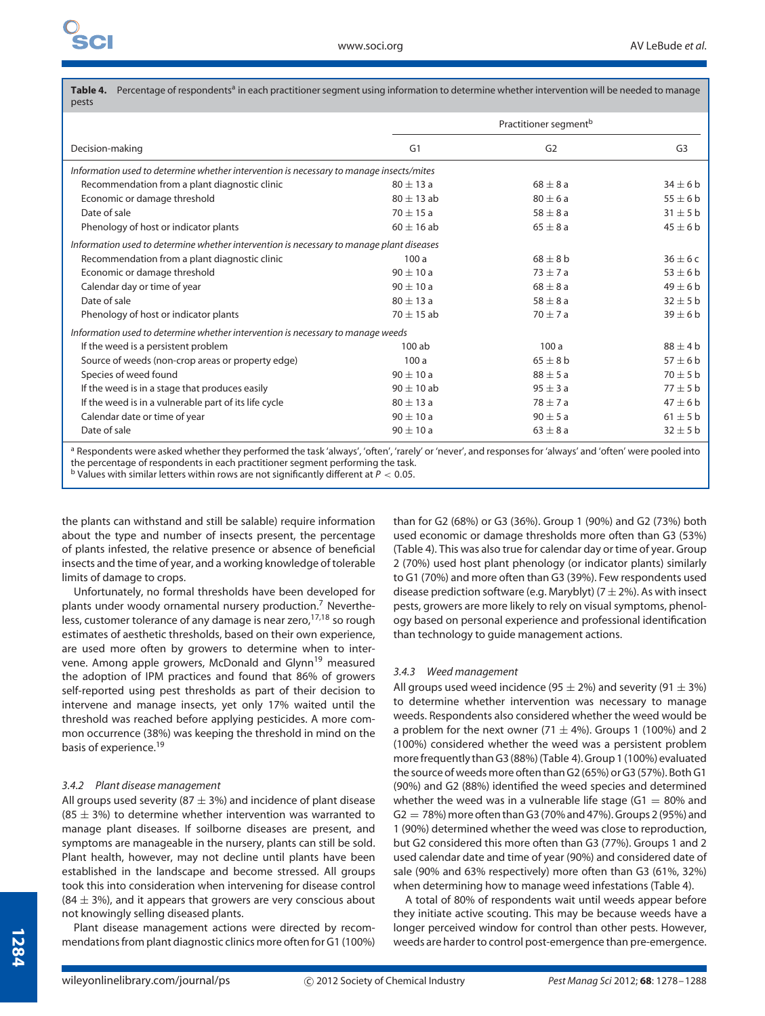| Table 4. Percentage of respondents <sup>a</sup> in each practitioner segment using information to determine whether intervention will be needed to manage<br>pests |                                   |                |                |  |
|--------------------------------------------------------------------------------------------------------------------------------------------------------------------|-----------------------------------|----------------|----------------|--|
|                                                                                                                                                                    | Practitioner segment <sup>b</sup> |                |                |  |
| Decision-making                                                                                                                                                    | G <sub>1</sub>                    | G <sub>2</sub> | G <sub>3</sub> |  |
| Information used to determine whether intervention is necessary to manage insects/mites                                                                            |                                   |                |                |  |
| Recommendation from a plant diagnostic clinic                                                                                                                      | $80 \pm 13$ a                     | $68 \pm 8a$    | $34 \pm 6$ b   |  |
| Economic or damage threshold                                                                                                                                       | $80 \pm 13$ ab                    | $80 \pm 6a$    | $55 \pm 6$ b   |  |
| Date of sale                                                                                                                                                       | $70 \pm 15 a$                     | $58 \pm 8a$    | $31 \pm 5$ b   |  |
| Phenology of host or indicator plants                                                                                                                              | $60 \pm 16$ ab                    | $65 \pm 8a$    | $45 \pm 6$ b   |  |
| Information used to determine whether intervention is necessary to manage plant diseases                                                                           |                                   |                |                |  |
| Recommendation from a plant diagnostic clinic                                                                                                                      | 100a                              | $68 \pm 8$ b   | $36 \pm 6c$    |  |
| Economic or damage threshold                                                                                                                                       | $90 + 10a$                        | $73 \pm 7a$    | $53 \pm 6$ b   |  |
| Calendar day or time of year                                                                                                                                       | $90 \pm 10 a$                     | $68 \pm 8a$    | $49 \pm 6$ b   |  |
| Date of sale                                                                                                                                                       | $80 \pm 13$ a                     | $58 \pm 8a$    | $32 \pm 5$ b   |  |
| Phenology of host or indicator plants                                                                                                                              | $70 \pm 15$ ab                    | $70 \pm 7a$    | $39 \pm 6$ b   |  |
| Information used to determine whether intervention is necessary to manage weeds                                                                                    |                                   |                |                |  |
| If the weed is a persistent problem                                                                                                                                | $100$ ab                          | 100a           | $88 \pm 4$ b   |  |
| Source of weeds (non-crop areas or property edge)                                                                                                                  | 100a                              | $65 \pm 8$ b   | $57 \pm 6$ b   |  |
| Species of weed found                                                                                                                                              | $90 + 10a$                        | $88 \pm 5a$    | $70 \pm 5$ b   |  |
| If the weed is in a stage that produces easily                                                                                                                     | $90 \pm 10$ ab                    | $95 \pm 3a$    | $77 \pm 5$ b   |  |
| If the weed is in a vulnerable part of its life cycle                                                                                                              | $80 \pm 13$ a                     | $78 \pm 7a$    | $47 \pm 6$ b   |  |
| Calendar date or time of year                                                                                                                                      | $90 \pm 10 a$                     | $90 \pm 5a$    | $61 \pm 5$ b   |  |
| Date of sale                                                                                                                                                       | $90 \pm 10 a$                     | $63 \pm 8a$    | $32 \pm 5$ b   |  |

<sup>a</sup> Respondents were asked whether they performed the task 'always', 'often', 'rarely' or 'never', and responses for 'always' and 'often' were pooled into the percentage of respondents in each practitioner segment performing the task.

<sup>b</sup> Values with similar letters within rows are not significantly different at *P <* 0*.*05.

the plants can withstand and still be salable) require information about the type and number of insects present, the percentage of plants infested, the relative presence or absence of beneficial insects and the time of year, and a working knowledge of tolerable limits of damage to crops.

Unfortunately, no formal thresholds have been developed for plants under woody ornamental nursery production.<sup>7</sup> Nevertheless, customer tolerance of any damage is near zero,  $17,18$  so rough estimates of aesthetic thresholds, based on their own experience, are used more often by growers to determine when to intervene. Among apple growers, McDonald and Glynn<sup>19</sup> measured the adoption of IPM practices and found that 86% of growers self-reported using pest thresholds as part of their decision to intervene and manage insects, yet only 17% waited until the threshold was reached before applying pesticides. A more common occurrence (38%) was keeping the threshold in mind on the basis of experience.<sup>19</sup>

#### *3.4.2 Plant disease management*

All groups used severity (87  $\pm$  3%) and incidence of plant disease  $(85 \pm 3%)$  to determine whether intervention was warranted to manage plant diseases. If soilborne diseases are present, and symptoms are manageable in the nursery, plants can still be sold. Plant health, however, may not decline until plants have been established in the landscape and become stressed. All groups took this into consideration when intervening for disease control  $(84 \pm 3\%)$ , and it appears that growers are very conscious about not knowingly selling diseased plants.

Plant disease management actions were directed by recommendations from plant diagnostic clinics more often for G1 (100%) than for G2 (68%) or G3 (36%). Group 1 (90%) and G2 (73%) both used economic or damage thresholds more often than G3 (53%) (Table 4). This was also true for calendar day or time of year. Group 2 (70%) used host plant phenology (or indicator plants) similarly to G1 (70%) and more often than G3 (39%). Few respondents used disease prediction software (e.g. Maryblyt) ( $7 ± 2$ %). As with insect pests, growers are more likely to rely on visual symptoms, phenology based on personal experience and professional identification than technology to guide management actions.

#### *3.4.3 Weed management*

All groups used weed incidence (95  $\pm$  2%) and severity (91  $\pm$  3%) to determine whether intervention was necessary to manage weeds. Respondents also considered whether the weed would be a problem for the next owner (71  $\pm$  4%). Groups 1 (100%) and 2 (100%) considered whether the weed was a persistent problem morefrequently than G3(88%)(Table 4). Group 1(100%) evaluated the source of weeds more often than G2(65%) or G3(57%). Both G1 (90%) and G2 (88%) identified the weed species and determined whether the weed was in a vulnerable life stage (G1  $=$  80% and  $G2 = 78%$ ) more often than G3 (70% and 47%). Groups 2 (95%) and 1 (90%) determined whether the weed was close to reproduction, but G2 considered this more often than G3 (77%). Groups 1 and 2 used calendar date and time of year (90%) and considered date of sale (90% and 63% respectively) more often than G3 (61%, 32%) when determining how to manage weed infestations (Table 4).

A total of 80% of respondents wait until weeds appear before they initiate active scouting. This may be because weeds have a longer perceived window for control than other pests. However, weeds are harder to control post-emergence than pre-emergence.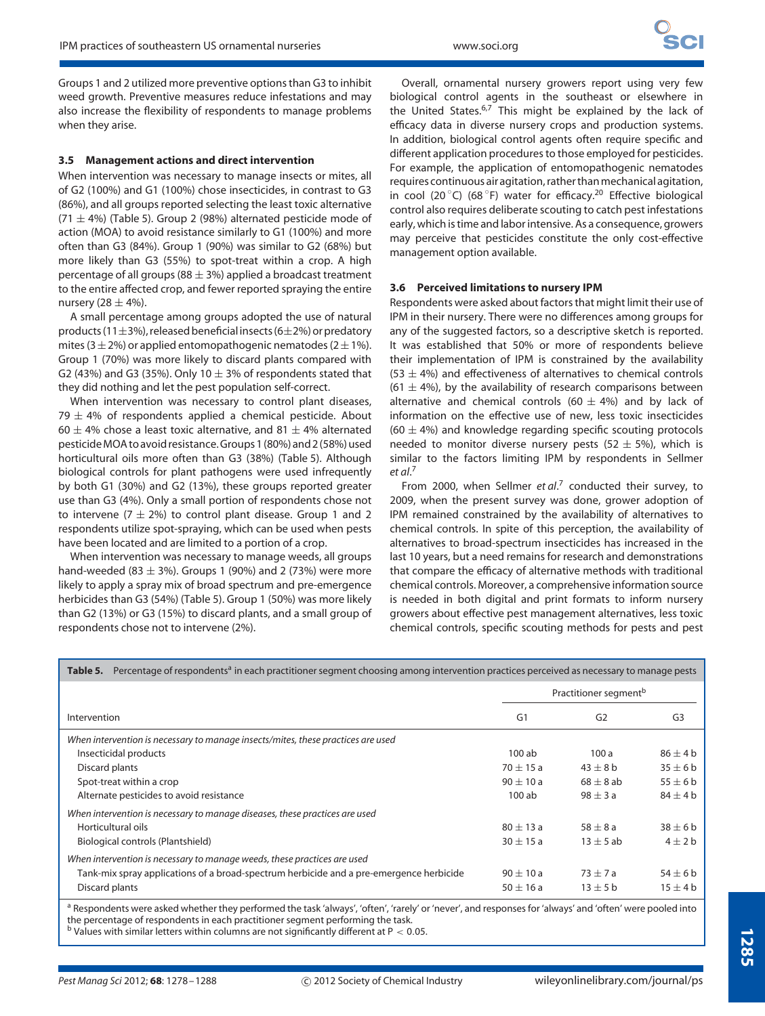Groups 1 and 2 utilized more preventive options than G3 to inhibit weed growth. Preventive measures reduce infestations and may also increase the flexibility of respondents to manage problems when they arise.

## **3.5 Management actions and direct intervention**

When intervention was necessary to manage insects or mites, all of G2 (100%) and G1 (100%) chose insecticides, in contrast to G3 (86%), and all groups reported selecting the least toxic alternative  $(71 \pm 4%)$  (Table 5). Group 2 (98%) alternated pesticide mode of action (MOA) to avoid resistance similarly to G1 (100%) and more often than G3 (84%). Group 1 (90%) was similar to G2 (68%) but more likely than G3 (55%) to spot-treat within a crop. A high percentage of all groups (88  $\pm$  3%) applied a broadcast treatment to the entire affected crop, and fewer reported spraying the entire nursery (28  $\pm$  4%).

A small percentage among groups adopted the use of natural products (11 $\pm$ 3%), released beneficial insects (6 $\pm$ 2%) or predatory mites (3  $\pm$  2%) or applied entomopathogenic nematodes (2  $\pm$  1%). Group 1 (70%) was more likely to discard plants compared with G2 (43%) and G3 (35%). Only 10  $\pm$  3% of respondents stated that they did nothing and let the pest population self-correct.

When intervention was necessary to control plant diseases,  $79 \pm 4\%$  of respondents applied a chemical pesticide. About 60  $\pm$  4% chose a least toxic alternative, and 81  $\pm$  4% alternated pesticideMOA toavoid resistance.Groups 1(80%)and 2(58%) used horticultural oils more often than G3 (38%) (Table 5). Although biological controls for plant pathogens were used infrequently by both G1 (30%) and G2 (13%), these groups reported greater use than G3 (4%). Only a small portion of respondents chose not to intervene ( $7 \pm 2\%$ ) to control plant disease. Group 1 and 2 respondents utilize spot-spraying, which can be used when pests have been located and are limited to a portion of a crop.

When intervention was necessary to manage weeds, all groups hand-weeded (83  $\pm$  3%). Groups 1 (90%) and 2 (73%) were more likely to apply a spray mix of broad spectrum and pre-emergence herbicides than G3 (54%) (Table 5). Group 1 (50%) was more likely than G2 (13%) or G3 (15%) to discard plants, and a small group of respondents chose not to intervene (2%).

Overall, ornamental nursery growers report using very few biological control agents in the southeast or elsewhere in the United States. $6,7$  This might be explained by the lack of efficacy data in diverse nursery crops and production systems. In addition, biological control agents often require specific and different application procedures to those employed for pesticides. For example, the application of entomopathogenic nematodes requires continuous air agitation, rather thanmechanical agitation, in cool (20 $^{\circ}$ C) (68 $^{\circ}$ F) water for efficacy. $^{20}$  Effective biological control also requires deliberate scouting to catch pest infestations early, which is time and labor intensive. As a consequence, growers may perceive that pesticides constitute the only cost-effective management option available.

## **3.6 Perceived limitations to nursery IPM**

Respondents were asked about factors that might limit their use of IPM in their nursery. There were no differences among groups for any of the suggested factors, so a descriptive sketch is reported. It was established that 50% or more of respondents believe their implementation of IPM is constrained by the availability  $(53 \pm 4%)$  and effectiveness of alternatives to chemical controls  $(61 \pm 4\%)$ , by the availability of research comparisons between alternative and chemical controls (60  $\pm$  4%) and by lack of information on the effective use of new, less toxic insecticides  $(60 \pm 4%)$  and knowledge regarding specific scouting protocols needed to monitor diverse nursery pests (52  $\pm$  5%), which is similar to the factors limiting IPM by respondents in Sellmer *et al*. 7

From 2000, when Sellmer *et al*. <sup>7</sup> conducted their survey, to 2009, when the present survey was done, grower adoption of IPM remained constrained by the availability of alternatives to chemical controls. In spite of this perception, the availability of alternatives to broad-spectrum insecticides has increased in the last 10 years, but a need remains for research and demonstrations that compare the efficacy of alternative methods with traditional chemical controls. Moreover, a comprehensive information source is needed in both digital and print formats to inform nursery growers about effective pest management alternatives, less toxic chemical controls, specific scouting methods for pests and pest

| Percentage of respondents <sup>a</sup> in each practitioner segment choosing among intervention practices perceived as necessary to manage pests<br>Table 5. |                                   |                |                |  |
|--------------------------------------------------------------------------------------------------------------------------------------------------------------|-----------------------------------|----------------|----------------|--|
|                                                                                                                                                              | Practitioner segment <sup>b</sup> |                |                |  |
| Intervention                                                                                                                                                 | G1                                | G <sub>2</sub> | G <sub>3</sub> |  |
| When intervention is necessary to manage insects/mites, these practices are used                                                                             |                                   |                |                |  |
| Insecticidal products                                                                                                                                        | $100$ ab                          | 100a           | $86 + 4 b$     |  |
| Discard plants                                                                                                                                               | $70 + 15a$                        | $43 + 8b$      | $35 + 6 b$     |  |
| Spot-treat within a crop                                                                                                                                     | $90 + 10a$                        | $68 + 8$ ab    | $55 + 6 b$     |  |
| Alternate pesticides to avoid resistance                                                                                                                     | $100$ ab                          | $98 + 3a$      | $84 \pm 4$ b   |  |
| When intervention is necessary to manage diseases, these practices are used                                                                                  |                                   |                |                |  |
| Horticultural oils                                                                                                                                           | $80 + 13a$                        | $58 + 8a$      | $38 \pm 6$ b   |  |
| Biological controls (Plantshield)                                                                                                                            | $30 + 15a$                        | $13 + 5$ ab    | $4+2b$         |  |
| When intervention is necessary to manage weeds, these practices are used                                                                                     |                                   |                |                |  |
| Tank-mix spray applications of a broad-spectrum herbicide and a pre-emergence herbicide                                                                      | $90 + 10a$                        | $73 + 7a$      | $54 + 6 b$     |  |
| Discard plants                                                                                                                                               | $50 \pm 16 a$                     | $13 \pm 5$ b   | $15 \pm 4$ b   |  |

<sup>a</sup> Respondents were asked whether they performed the task 'always', 'often', 'rarely' or 'never', and responses for 'always' and 'often' were pooled into the percentage of respondents in each practitioner segment performing the task.

<sup>b</sup> Values with similar letters within columns are not significantly different at P *<* 0*.*05.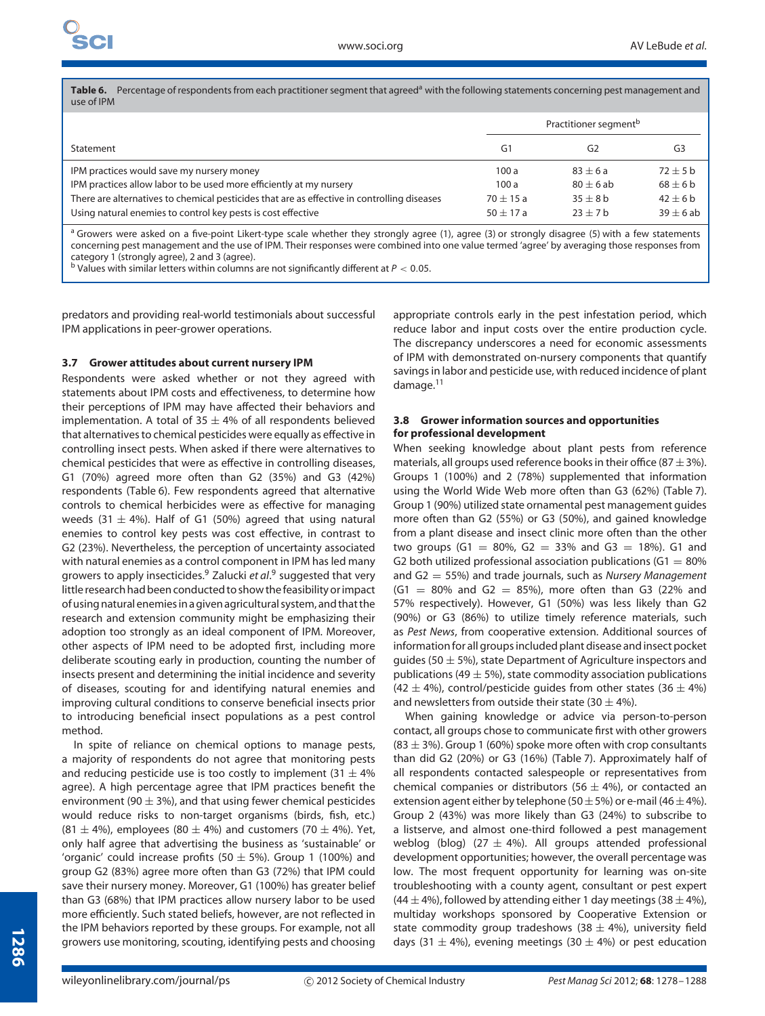| Percentage of respondents from each practitioner segment that agreed <sup>a</sup> with the following statements concerning pest management and<br>Table 6.<br>use of IPM |                                   |                |             |
|--------------------------------------------------------------------------------------------------------------------------------------------------------------------------|-----------------------------------|----------------|-------------|
|                                                                                                                                                                          | Practitioner segment <sup>b</sup> |                |             |
| Statement                                                                                                                                                                | G1                                | G <sub>2</sub> | G3          |
| IPM practices would save my nursery money                                                                                                                                | 100a                              | $83 + 6a$      | $72 + 5b$   |
| IPM practices allow labor to be used more efficiently at my nursery                                                                                                      | 100a                              | $80 + 6$ ab    | $68 + 6 b$  |
| There are alternatives to chemical pesticides that are as effective in controlling diseases                                                                              | $70 + 15a$                        | $35 + 8b$      | $42 + 6 b$  |
| Using natural enemies to control key pests is cost effective                                                                                                             | $50 + 17a$                        | $23 + 7h$      | $39 + 6$ ab |
| Growers were asked on a five-point Likert-type scale whether they strongly agree (1) agree (3) or strongly disagree (5) with a few statements                            |                                   |                |             |

<sup>a</sup> Growers were asked on a five-point Likert-type scale whether they strongly agree (1), agree (3) or strongly disagree (5) with a few statements concerning pest management and the use of IPM. Their responses were combined into one value termed 'agree' by averaging those responses from category 1 (strongly agree), 2 and 3 (agree).

<sup>b</sup> Values with similar letters within columns are not significantly different at *P <* 0*.*05.

predators and providing real-world testimonials about successful IPM applications in peer-grower operations.

#### **3.7 Grower attitudes about current nursery IPM**

Respondents were asked whether or not they agreed with statements about IPM costs and effectiveness, to determine how their perceptions of IPM may have affected their behaviors and implementation. A total of  $35 \pm 4\%$  of all respondents believed that alternatives to chemical pesticides were equally as effective in controlling insect pests. When asked if there were alternatives to chemical pesticides that were as effective in controlling diseases, G1 (70%) agreed more often than G2 (35%) and G3 (42%) respondents (Table 6). Few respondents agreed that alternative controls to chemical herbicides were as effective for managing weeds (31  $\pm$  4%). Half of G1 (50%) agreed that using natural enemies to control key pests was cost effective, in contrast to G2 (23%). Nevertheless, the perception of uncertainty associated with natural enemies as a control component in IPM has led many growers to apply insecticides.9 Zalucki *et al*. <sup>9</sup> suggested that very little research had been conducted to show thefeasibility or impact of using natural enemies in a given agricultural system, and that the research and extension community might be emphasizing their adoption too strongly as an ideal component of IPM. Moreover, other aspects of IPM need to be adopted first, including more deliberate scouting early in production, counting the number of insects present and determining the initial incidence and severity of diseases, scouting for and identifying natural enemies and improving cultural conditions to conserve beneficial insects prior to introducing beneficial insect populations as a pest control method.

In spite of reliance on chemical options to manage pests, a majority of respondents do not agree that monitoring pests and reducing pesticide use is too costly to implement  $(31 \pm 4\%)$ agree). A high percentage agree that IPM practices benefit the environment (90  $\pm$  3%), and that using fewer chemical pesticides would reduce risks to non-target organisms (birds, fish, etc.)  $(81 \pm 4\%)$ , employees  $(80 \pm 4\%)$  and customers  $(70 \pm 4\%)$ . Yet, only half agree that advertising the business as 'sustainable' or 'organic' could increase profits (50  $\pm$  5%). Group 1 (100%) and group G2 (83%) agree more often than G3 (72%) that IPM could save their nursery money. Moreover, G1 (100%) has greater belief than G3 (68%) that IPM practices allow nursery labor to be used more efficiently. Such stated beliefs, however, are not reflected in the IPM behaviors reported by these groups. For example, not all growers use monitoring, scouting, identifying pests and choosing appropriate controls early in the pest infestation period, which reduce labor and input costs over the entire production cycle. The discrepancy underscores a need for economic assessments of IPM with demonstrated on-nursery components that quantify savings in labor and pesticide use, with reduced incidence of plant damage.11

## **3.8 Grower information sources and opportunities for professional development**

When seeking knowledge about plant pests from reference materials, all groups used reference books in their office (87 $\pm$ 3%). Groups 1 (100%) and 2 (78%) supplemented that information using the World Wide Web more often than G3 (62%) (Table 7). Group 1 (90%) utilized state ornamental pest management guides more often than G2 (55%) or G3 (50%), and gained knowledge from a plant disease and insect clinic more often than the other two groups (G1 = 80%, G2 = 33% and G3 = 18%). G1 and G2 both utilized professional association publications ( $G1 = 80\%$ ) and G2 = 55%) and trade journals, such as *Nursery Management*  $(G1 = 80\%$  and  $G2 = 85\%$ ), more often than G3 (22% and 57% respectively). However, G1 (50%) was less likely than G2 (90%) or G3 (86%) to utilize timely reference materials, such as *Pest News*, from cooperative extension. Additional sources of information for all groups included plant disease and insect pocket guides (50  $\pm$  5%), state Department of Agriculture inspectors and publications (49  $\pm$  5%), state commodity association publications  $(42 \pm 4\%)$ , control/pesticide guides from other states  $(36 \pm 4\%)$ and newsletters from outside their state (30  $\pm$  4%).

When gaining knowledge or advice via person-to-person contact, all groups chose to communicate first with other growers  $(83 \pm 3%)$ . Group 1 (60%) spoke more often with crop consultants than did G2 (20%) or G3 (16%) (Table 7). Approximately half of all respondents contacted salespeople or representatives from chemical companies or distributors (56  $\pm$  4%), or contacted an extension agent either by telephone (50 $\pm$ 5%) or e-mail (46 $\pm$ 4%). Group 2 (43%) was more likely than G3 (24%) to subscribe to a listserve, and almost one-third followed a pest management weblog (blog) (27  $\pm$  4%). All groups attended professional development opportunities; however, the overall percentage was low. The most frequent opportunity for learning was on-site troubleshooting with a county agent, consultant or pest expert  $(44 \pm 4\%)$ , followed by attending either 1 day meetings  $(38 \pm 4\%)$ , multiday workshops sponsored by Cooperative Extension or state commodity group tradeshows (38  $\pm$  4%), university field days (31  $\pm$  4%), evening meetings (30  $\pm$  4%) or pest education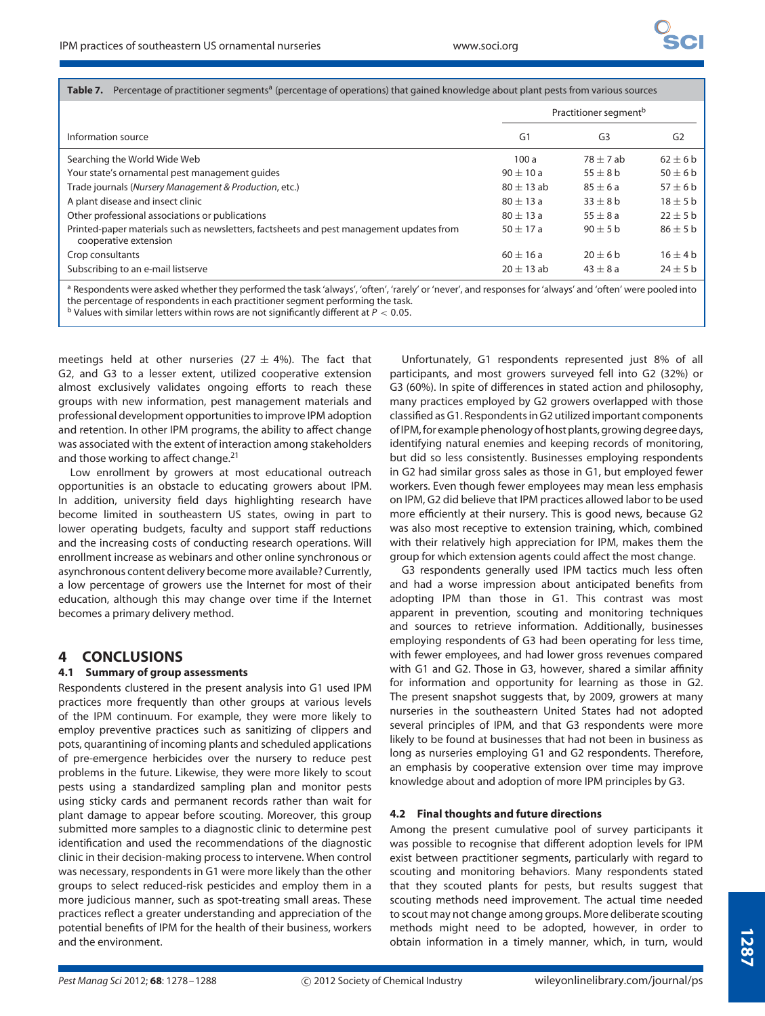| Percentage of practitioner segments <sup>a</sup> (percentage of operations) that gained knowledge about plant pests from various sources<br>Table 7. |                                   |             |                |
|------------------------------------------------------------------------------------------------------------------------------------------------------|-----------------------------------|-------------|----------------|
|                                                                                                                                                      | Practitioner segment <sup>b</sup> |             |                |
| Information source                                                                                                                                   | G1                                | G3          | G <sub>2</sub> |
| Searching the World Wide Web                                                                                                                         | 100 a                             | $78 + 7$ ab | $62 + 6b$      |

| Your state's ornamental pest management quides                                                                    | $90 + 10a$   | $55 + 8b$    | $50 \pm 6$ b |
|-------------------------------------------------------------------------------------------------------------------|--------------|--------------|--------------|
| Trade journals (Nursery Management & Production, etc.)                                                            | $80 + 13$ ab | $85 \pm 6a$  | $57 \pm 6$ b |
| A plant disease and insect clinic                                                                                 | $80 + 13a$   | $33 \pm 8$ b | $18 \pm 5$ b |
| Other professional associations or publications                                                                   | $80 + 13a$   | $55 \pm 8a$  | $22 \pm 5$ b |
| Printed-paper materials such as newsletters, factsheets and pest management updates from<br>cooperative extension | $50 + 17a$   | $90 + 5 b$   | $86 \pm 5$ b |
| Crop consultants                                                                                                  | $60 + 16a$   | $20 + 6 b$   | $16 + 4b$    |
| Subscribing to an e-mail listserve                                                                                | $20 + 13$ ab | $43 + 8a$    | $24 + 5b$    |
|                                                                                                                   |              |              |              |

<sup>a</sup> Respondents were asked whether they performed the task 'always', 'often', 'rarely' or 'never', and responses for 'always' and 'often' were pooled into the percentage of respondents in each practitioner segment performing the task.

<sup>b</sup> Values with similar letters within rows are not significantly different at *P <* 0*.*05.

meetings held at other nurseries (27  $\pm$  4%). The fact that G2, and G3 to a lesser extent, utilized cooperative extension almost exclusively validates ongoing efforts to reach these groups with new information, pest management materials and professional development opportunities to improve IPM adoption and retention. In other IPM programs, the ability to affect change was associated with the extent of interaction among stakeholders and those working to affect change.<sup>21</sup>

Low enrollment by growers at most educational outreach opportunities is an obstacle to educating growers about IPM. In addition, university field days highlighting research have become limited in southeastern US states, owing in part to lower operating budgets, faculty and support staff reductions and the increasing costs of conducting research operations. Will enrollment increase as webinars and other online synchronous or asynchronous content delivery become more available? Currently, a low percentage of growers use the Internet for most of their education, although this may change over time if the Internet becomes a primary delivery method.

# **4 CONCLUSIONS**

## **4.1 Summary of group assessments**

Respondents clustered in the present analysis into G1 used IPM practices more frequently than other groups at various levels of the IPM continuum. For example, they were more likely to employ preventive practices such as sanitizing of clippers and pots, quarantining of incoming plants and scheduled applications of pre-emergence herbicides over the nursery to reduce pest problems in the future. Likewise, they were more likely to scout pests using a standardized sampling plan and monitor pests using sticky cards and permanent records rather than wait for plant damage to appear before scouting. Moreover, this group submitted more samples to a diagnostic clinic to determine pest identification and used the recommendations of the diagnostic clinic in their decision-making process to intervene. When control was necessary, respondents in G1 were more likely than the other groups to select reduced-risk pesticides and employ them in a more judicious manner, such as spot-treating small areas. These practices reflect a greater understanding and appreciation of the potential benefits of IPM for the health of their business, workers and the environment.

Unfortunately, G1 respondents represented just 8% of all participants, and most growers surveyed fell into G2 (32%) or G3 (60%). In spite of differences in stated action and philosophy, many practices employed by G2 growers overlapped with those classified as G1. Respondents in G2 utilized important components of IPM,for example phenology of host plants, growing degree days, identifying natural enemies and keeping records of monitoring, but did so less consistently. Businesses employing respondents in G2 had similar gross sales as those in G1, but employed fewer workers. Even though fewer employees may mean less emphasis on IPM, G2 did believe that IPM practices allowed labor to be used more efficiently at their nursery. This is good news, because G2 was also most receptive to extension training, which, combined with their relatively high appreciation for IPM, makes them the group for which extension agents could affect the most change.

G3 respondents generally used IPM tactics much less often and had a worse impression about anticipated benefits from adopting IPM than those in G1. This contrast was most apparent in prevention, scouting and monitoring techniques and sources to retrieve information. Additionally, businesses employing respondents of G3 had been operating for less time, with fewer employees, and had lower gross revenues compared with G1 and G2. Those in G3, however, shared a similar affinity for information and opportunity for learning as those in G2. The present snapshot suggests that, by 2009, growers at many nurseries in the southeastern United States had not adopted several principles of IPM, and that G3 respondents were more likely to be found at businesses that had not been in business as long as nurseries employing G1 and G2 respondents. Therefore, an emphasis by cooperative extension over time may improve knowledge about and adoption of more IPM principles by G3.

# **4.2 Final thoughts and future directions**

Among the present cumulative pool of survey participants it was possible to recognise that different adoption levels for IPM exist between practitioner segments, particularly with regard to scouting and monitoring behaviors. Many respondents stated that they scouted plants for pests, but results suggest that scouting methods need improvement. The actual time needed to scout may not change among groups. More deliberate scouting methods might need to be adopted, however, in order to obtain information in a timely manner, which, in turn, would